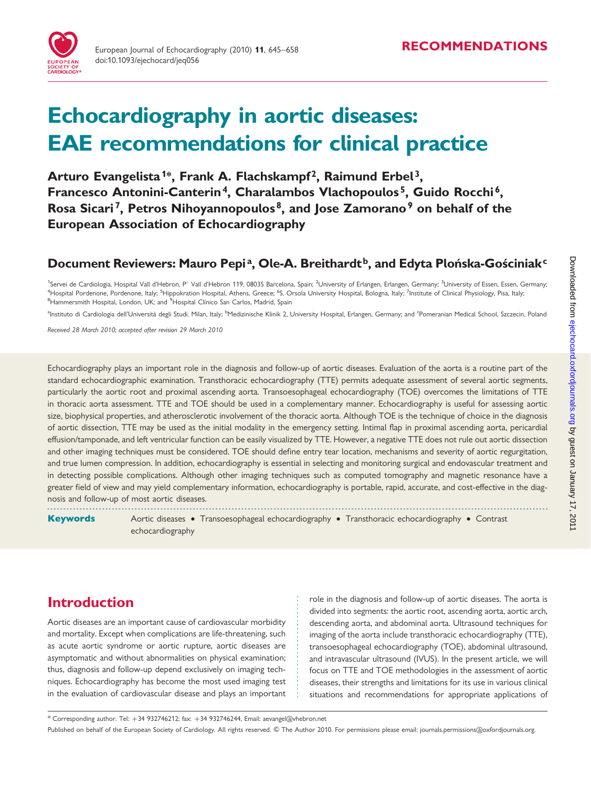

# Echocardiography in aortic diseases: EAE recommendations for clinical practice

Arturo Evangelista<sup>1\*</sup>, Frank A. Flachskampf<sup>2</sup>, Raimund Erbel<sup>3</sup>, Francesco Antonini-Canterin<sup>4</sup>, Charalambos Vlachopoulos<sup>5</sup>, Guido Rocchi<sup>6</sup>, Rosa Sicari<sup>7</sup>, Petros Nihoyannopoulos<sup>8</sup>, and Jose Zamorano<sup>9</sup> on behalf of the European Association of Echocardiography

# Document Reviewers: Mauro Pepi<sup>a</sup>, Ole-A. Breithardt<sup>b</sup>, and Edyta Plonska-Gosciniak<sup>c</sup>

<sup>1</sup>Servei de Cardiologia, Hospital Vall d'Hebron, P° Vall d'Hebron 119, 08035 Barcelona, Spain; <sup>2</sup>University of Erlangen, Erlangen, Germany; <sup>3</sup>University of Essen, Essen, Germany; <sup>4</sup>Hospital Pordenone, Pordenone, Italy; <sup>5</sup>Hippokration Hospital, Athens, Greece; <sup>6</sup>S. Orsola University Hospital, Bologna, Italy; <sup>7</sup>Institute of Clinical Physiology, Pisa, Italy: <sup>8</sup>Hammersmith Hospital, London, UK; and <sup>9</sup>Hospital Clínico San Carlos, Madrid, Spain

<sup>a</sup>Instituto di Cardiologia dell'Università degli Studi. Milan, Italy; <sup>b</sup>Medizinische Klinik 2, University Hospital, Erlangen, Germany; and <sup>c</sup>Pomeranian Medical School, Szczecin, Poland

Received 28 March 2010; accepted after revision 29 March 2010

Echocardiography plays an important role in the diagnosis and follow-up of aortic diseases. Evaluation of the aorta is a routine part of the standard echocardiographic examination. Transthoracic echocardiography (TTE) permits adequate assessment of several aortic segments, particularly the aortic root and proximal ascending aorta. Transoesophageal echocardiography (TOE) overcomes the limitations of TTE in thoracic aorta assessment. TTE and TOE should be used in a complementary manner. Echocardiography is useful for assessing aortic size, biophysical properties, and atherosclerotic involvement of the thoracic aorta. Although TOE is the technique of choice in the diagnosis of aortic dissection, TTE may be used as the initial modality in the emergency setting. Intimal flap in proximal ascending aorta, pericardial effusion/tamponade, and left ventricular function can be easily visualized by TTE. However, a negative TTE does not rule out aortic dissection and other imaging techniques must be considered. TOE should define entry tear location, mechanisms and severity of aortic regurgitation, and true lumen compression. In addition, echocardiography is essential in selecting and monitoring surgical and endovascular treatment and in detecting possible complications. Although other imaging techniques such as computed tomography and magnetic resonance have a greater field of view and may yield complementary information, echocardiography is portable, rapid, accurate, and cost-effective in the diagnosis and follow-up of most aortic diseases.

----------------------------------------------------------------------------------------------------------------------------------------------------------- Keywords Aortic diseases • Transoesophageal echocardiography • Transthoracic echocardiography • Contrast echocardiography

# Introduction

Aortic diseases are an important cause of cardiovascular morbidity and mortality. Except when complications are life-threatening, such as acute aortic syndrome or aortic rupture, aortic diseases are asymptomatic and without abnormalities on physical examination; thus, diagnosis and follow-up depend exclusively on imaging techniques. Echocardiography has become the most used imaging test in the evaluation of cardiovascular disease and plays an important role in the diagnosis and follow-up of aortic diseases. The aorta is divided into segments: the aortic root, ascending aorta, aortic arch, descending aorta, and abdominal aorta. Ultrasound techniques for imaging of the aorta include transthoracic echocardiography (TTE), transoesophageal echocardiography (TOE), abdominal ultrasound, and intravascular ultrasound (IVUS). In the present article, we will focus on TTE and TOE methodologies in the assessment of aortic diseases, their strengths and limitations for its use in various clinical situations and recommendations for appropriate applications of

\* Corresponding author. Tel: +34 932746212; fax: +34 932746244, Email: aevangel@vhebron.net

Published on behalf of the European Society of Cardiology. All rights reserved. © The Author 2010. For permissions please email: journals.permissions@oxfordjournals.org.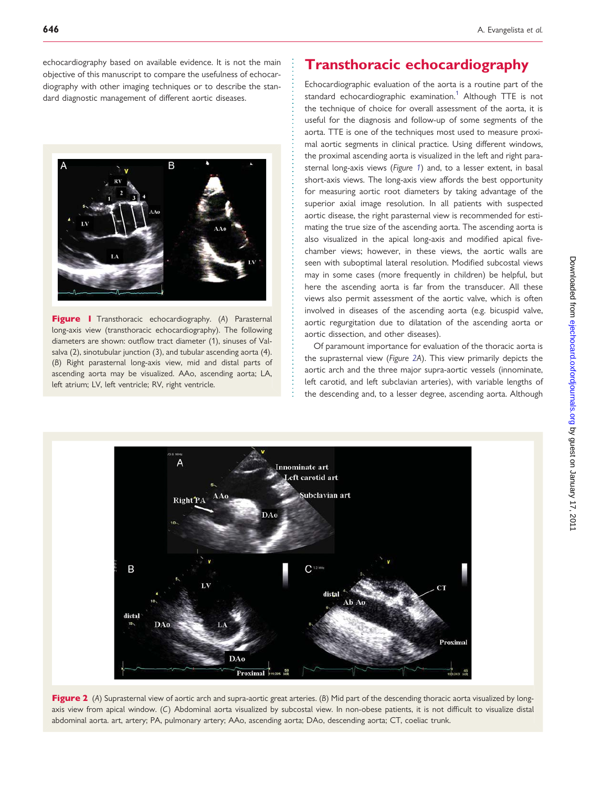<span id="page-1-0"></span>echocardiography based on available evidence. It is not the main objective of this manuscript to compare the usefulness of echocardiography with other imaging techniques or to describe the standard diagnostic management of different aortic diseases.



Figure I Transthoracic echocardiography. (A) Parasternal long-axis view (transthoracic echocardiography). The following diameters are shown: outflow tract diameter (1), sinuses of Valsalva (2), sinotubular junction (3), and tubular ascending aorta (4). (B) Right parasternal long-axis view, mid and distal parts of ascending aorta may be visualized. AAo, ascending aorta; LA, left atrium; LV, left ventricle; RV, right ventricle.

# Transthoracic echocardiography

Echocardiographic evaluation of the aorta is a routine part of the standard echocardiographic examination.<sup>1</sup> Although TTE is not the technique of choice for overall assessment of the aorta, it is useful for the diagnosis and follow-up of some segments of the aorta. TTE is one of the techniques most used to measure proximal aortic segments in clinical practice. Using different windows, the proximal ascending aorta is visualized in the left and right parasternal long-axis views (Figure 1) and, to a lesser extent, in basal short-axis views. The long-axis view affords the best opportunity for measuring aortic root diameters by taking advantage of the superior axial image resolution. In all patients with suspected aortic disease, the right parasternal view is recommended for estimating the true size of the ascending aorta. The ascending aorta is also visualized in the apical long-axis and modified apical fivechamber views; however, in these views, the aortic walls are seen with suboptimal lateral resolution. Modified subcostal views may in some cases (more frequently in children) be helpful, but here the ascending aorta is far from the transducer. All these views also permit assessment of the aortic valve, which is often involved in diseases of the ascending aorta (e.g. bicuspid valve, aortic regurgitation due to dilatation of the ascending aorta or aortic dissection, and other diseases).

Of paramount importance for evaluation of the thoracic aorta is the suprasternal view (Figure 2A). This view primarily depicts the aortic arch and the three major supra-aortic vessels (innominate, left carotid, and left subclavian arteries), with variable lengths of the descending and, to a lesser degree, ascending aorta. Although



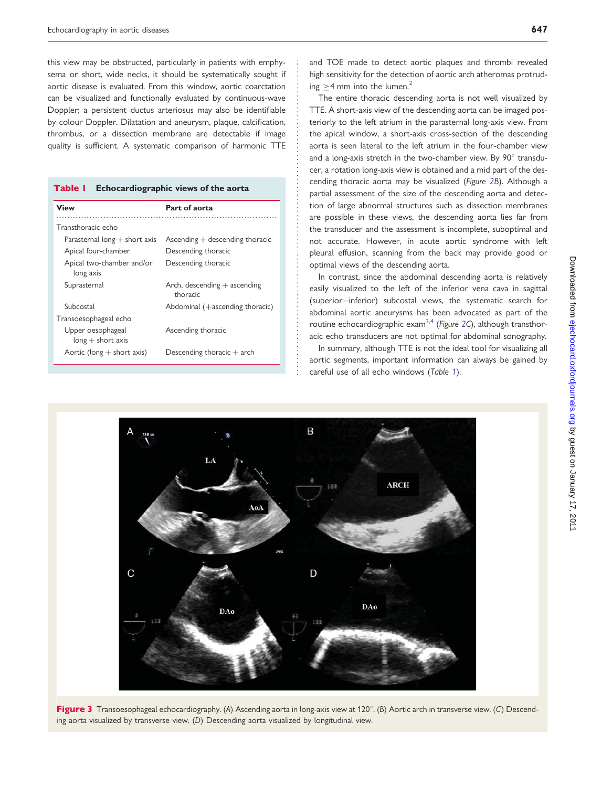<span id="page-2-0"></span>this view may be obstructed, particularly in patients with emphysema or short, wide necks, it should be systematically sought if aortic disease is evaluated. From this window, aortic coarctation can be visualized and functionally evaluated by continuous-wave Doppler; a persistent ductus arteriosus may also be identifiable by colour Doppler. Dilatation and aneurysm, plaque, calcification, thrombus, or a dissection membrane are detectable if image quality is sufficient. A systematic comparison of harmonic TTE

| Echocardiographic views of the aorta<br>Table I |                                            |  |
|-------------------------------------------------|--------------------------------------------|--|
| <b>View</b>                                     | Part of aorta                              |  |
| Transthoracic echo                              |                                            |  |
| Parasternal long $+$ short axis                 | $\Delta$ scending $+$ descending thoracic  |  |
| Apical four-chamber                             | Descending thoracic                        |  |
| Apical two-chamber and/or<br>long axis          | Descending thoracic                        |  |
| Suprasternal                                    | Arch, descending $+$ ascending<br>thoracic |  |
| Subcostal                                       | Abdominal $(+$ ascending thoracic)         |  |
| Transoesophageal echo                           |                                            |  |
| Upper oesophageal<br>$long + short axis$        | Ascending thoracic                         |  |
| Aortic (long $+$ short axis)                    | Descending thoracic $+$ arch               |  |

and TOE made to detect aortic plaques and thrombi revealed high sensitivity for the detection of aortic arch atheromas protruding  $>4$  mm into the lumen.<sup>[2](#page-12-0)</sup>

The entire thoracic descending aorta is not well visualized by TTE. A short-axis view of the descending aorta can be imaged posteriorly to the left atrium in the parasternal long-axis view. From the apical window, a short-axis cross-section of the descending aorta is seen lateral to the left atrium in the four-chamber view and a long-axis stretch in the two-chamber view. By  $90^\circ$  transducer, a rotation long-axis view is obtained and a mid part of the descending thoracic aorta may be visualized (Figure [2](#page-1-0)B). Although a partial assessment of the size of the descending aorta and detection of large abnormal structures such as dissection membranes are possible in these views, the descending aorta lies far from the transducer and the assessment is incomplete, suboptimal and not accurate. However, in acute aortic syndrome with left pleural effusion, scanning from the back may provide good or optimal views of the descending aorta.

In contrast, since the abdominal descending aorta is relatively easily visualized to the left of the inferior vena cava in sagittal (superior–inferior) subcostal views, the systematic search for abdominal aortic aneurysms has been advocated as part of the routine echocardiographic exam<sup>3,[4](#page-12-0)</sup> (Figure [2C](#page-1-0)), although transthoracic echo transducers are not optimal for abdominal sonography.

In summary, although TTE is not the ideal tool for visualizing all aortic segments, important information can always be gained by careful use of all echo windows (Table 1).



Figure 3 Transoesophageal echocardiography. (A) Ascending aorta in long-axis view at 120°. (B) Aortic arch in transverse view. (C) Descending aorta visualized by transverse view. (D) Descending aorta visualized by longitudinal view.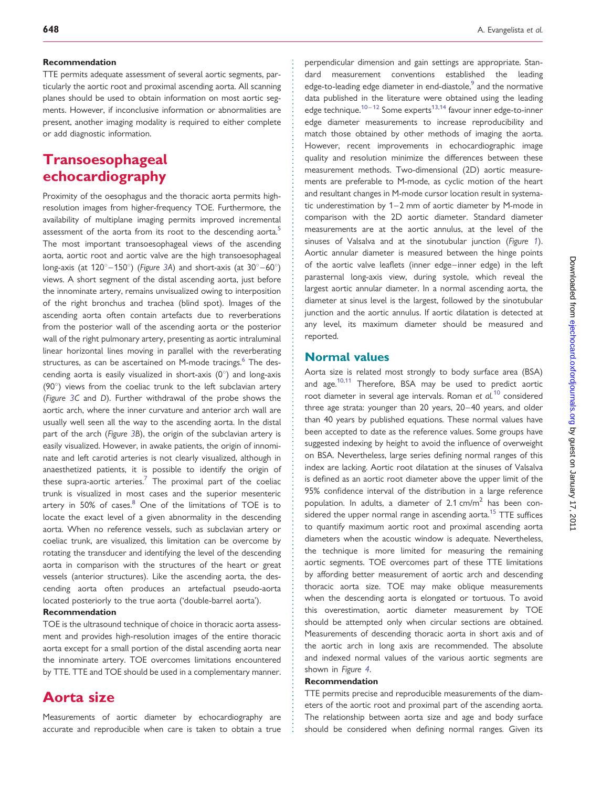#### Recommendation

TTE permits adequate assessment of several aortic segments, particularly the aortic root and proximal ascending aorta. All scanning planes should be used to obtain information on most aortic segments. However, if inconclusive information or abnormalities are present, another imaging modality is required to either complete or add diagnostic information.

# Transoesophageal echocardiography

Proximity of the oesophagus and the thoracic aorta permits highresolution images from higher-frequency TOE. Furthermore, the availability of multiplane imaging permits improved incremental assessment of the aorta from its root to the descending aorta.<sup>[5](#page-12-0)</sup> The most important transoesophageal views of the ascending aorta, aortic root and aortic valve are the high transoesophageal long-axis (at  $120^{\circ} - 150^{\circ}$ ) (Figure [3](#page-2-0)A) and short-axis (at  $30^{\circ} - 60^{\circ}$ ) views. A short segment of the distal ascending aorta, just before the innominate artery, remains unvisualized owing to interposition of the right bronchus and trachea (blind spot). Images of the ascending aorta often contain artefacts due to reverberations from the posterior wall of the ascending aorta or the posterior wall of the right pulmonary artery, presenting as aortic intraluminal linear horizontal lines moving in parallel with the reverberating structures, as can be ascertained on M-mode tracings.<sup>[6](#page-12-0)</sup> The descending aorta is easily visualized in short-axis  $(0^{\circ})$  and long-axis  $(90^\circ)$  views from the coeliac trunk to the left subclavian artery (Figure [3](#page-2-0)C and D). Further withdrawal of the probe shows the aortic arch, where the inner curvature and anterior arch wall are usually well seen all the way to the ascending aorta. In the distal part of the arch (Figure [3](#page-2-0)B), the origin of the subclavian artery is easily visualized. However, in awake patients, the origin of innominate and left carotid arteries is not clearly visualized, although in anaesthetized patients, it is possible to identify the origin of these supra-aortic arteries.<sup>[7](#page-12-0)</sup> The proximal part of the coeliac trunk is visualized in most cases and the superior mesenteric artery in  $50\%$  of cases. $8$  One of the limitations of TOE is to locate the exact level of a given abnormality in the descending aorta. When no reference vessels, such as subclavian artery or coeliac trunk, are visualized, this limitation can be overcome by rotating the transducer and identifying the level of the descending aorta in comparison with the structures of the heart or great vessels (anterior structures). Like the ascending aorta, the descending aorta often produces an artefactual pseudo-aorta located posteriorly to the true aorta ('double-barrel aorta').

#### Recommendation

TOE is the ultrasound technique of choice in thoracic aorta assessment and provides high-resolution images of the entire thoracic aorta except for a small portion of the distal ascending aorta near the innominate artery. TOE overcomes limitations encountered by TTE. TTE and TOE should be used in a complementary manner.

# Aorta size

Measurements of aortic diameter by echocardiography are accurate and reproducible when care is taken to obtain a true

perpendicular dimension and gain settings are appropriate. Standard measurement conventions established the leading edge-to-leading edge diameter in end-diastole, $9$  and the normative data published in the literature were obtained using the leading edge technique.<sup>[10](#page-12-0)-[12](#page-12-0)</sup> Some experts<sup>13,14</sup> favour inner edge-to-inner edge diameter measurements to increase reproducibility and match those obtained by other methods of imaging the aorta. However, recent improvements in echocardiographic image quality and resolution minimize the differences between these measurement methods. Two-dimensional (2D) aortic measurements are preferable to M-mode, as cyclic motion of the heart and resultant changes in M-mode cursor location result in systematic underestimation by 1–2 mm of aortic diameter by M-mode in comparison with the 2D aortic diameter. Standard diameter measurements are at the aortic annulus, at the level of the sinuses of Valsalva and at the sinotubular junction (Figure [1](#page-1-0)). Aortic annular diameter is measured between the hinge points of the aortic valve leaflets (inner edge–inner edge) in the left parasternal long-axis view, during systole, which reveal the largest aortic annular diameter. In a normal ascending aorta, the diameter at sinus level is the largest, followed by the sinotubular junction and the aortic annulus. If aortic dilatation is detected at any level, its maximum diameter should be measured and reported.

### Normal values

Aorta size is related most strongly to body surface area (BSA) and age.<sup>[10](#page-12-0),[11](#page-12-0)</sup> Therefore, BSA may be used to predict aortic root diameter in several age intervals. Roman et  $al$ .<sup>[10](#page-12-0)</sup> considered three age strata: younger than 20 years, 20–40 years, and older than 40 years by published equations. These normal values have been accepted to date as the reference values. Some groups have suggested indexing by height to avoid the influence of overweight on BSA. Nevertheless, large series defining normal ranges of this index are lacking. Aortic root dilatation at the sinuses of Valsalva is defined as an aortic root diameter above the upper limit of the 95% confidence interval of the distribution in a large reference population. In adults, a diameter of  $2.1$  cm/m<sup>2</sup> has been con-sidered the upper normal range in ascending aorta.<sup>[15](#page-12-0)</sup> TTE suffices to quantify maximum aortic root and proximal ascending aorta diameters when the acoustic window is adequate. Nevertheless, the technique is more limited for measuring the remaining aortic segments. TOE overcomes part of these TTE limitations by affording better measurement of aortic arch and descending thoracic aorta size. TOE may make oblique measurements when the descending aorta is elongated or tortuous. To avoid this overestimation, aortic diameter measurement by TOE should be attempted only when circular sections are obtained. Measurements of descending thoracic aorta in short axis and of the aortic arch in long axis are recommended. The absolute and indexed normal values of the various aortic segments are shown in Figure [4](#page-4-0).

#### Recommendation

TTE permits precise and reproducible measurements of the diameters of the aortic root and proximal part of the ascending aorta. The relationship between aorta size and age and body surface should be considered when defining normal ranges. Given its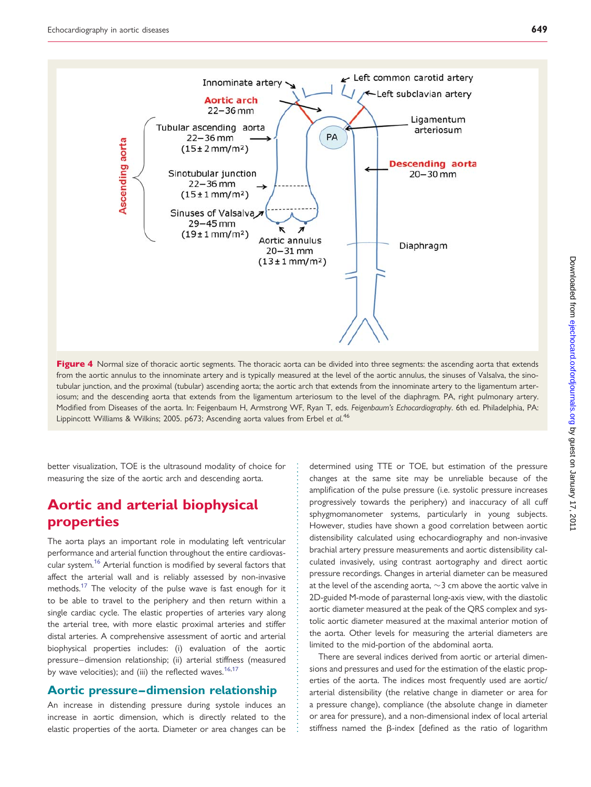<span id="page-4-0"></span>

Figure 4 Normal size of thoracic aortic segments. The thoracic aorta can be divided into three segments: the ascending aorta that extends from the aortic annulus to the innominate artery and is typically measured at the level of the aortic annulus, the sinuses of Valsalva, the sinotubular junction, and the proximal (tubular) ascending aorta; the aortic arch that extends from the innominate artery to the ligamentum arteriosum; and the descending aorta that extends from the ligamentum arteriosum to the level of the diaphragm. PA, right pulmonary artery. Modified from Diseases of the aorta. In: Feigenbaum H, Armstrong WF, Ryan T, eds. Feigenbaum's Echocardiography. 6th ed. Philadelphia, PA: Lippincott Williams & Wilkins; 2005. p673; Ascending aorta values from Erbel et al.<sup>46</sup>

better visualization, TOE is the ultrasound modality of choice for measuring the size of the aortic arch and descending aorta.

# Aortic and arterial biophysical properties

The aorta plays an important role in modulating left ventricular performance and arterial function throughout the entire cardiovas-cular system.<sup>[16](#page-12-0)</sup> Arterial function is modified by several factors that affect the arterial wall and is reliably assessed by non-invasive methods.<sup>17</sup> The velocity of the pulse wave is fast enough for it to be able to travel to the periphery and then return within a single cardiac cycle. The elastic properties of arteries vary along the arterial tree, with more elastic proximal arteries and stiffer distal arteries. A comprehensive assessment of aortic and arterial biophysical properties includes: (i) evaluation of the aortic pressure–dimension relationship; (ii) arterial stiffness (measured by wave velocities); and (iii) the reflected waves.  $16,17$  $16,17$  $16,17$ 

### Aortic pressure–dimension relationship

An increase in distending pressure during systole induces an increase in aortic dimension, which is directly related to the elastic properties of the aorta. Diameter or area changes can be determined using TTE or TOE, but estimation of the pressure changes at the same site may be unreliable because of the amplification of the pulse pressure (i.e. systolic pressure increases progressively towards the periphery) and inaccuracy of all cuff sphygmomanometer systems, particularly in young subjects. However, studies have shown a good correlation between aortic distensibility calculated using echocardiography and non-invasive brachial artery pressure measurements and aortic distensibility calculated invasively, using contrast aortography and direct aortic pressure recordings. Changes in arterial diameter can be measured at the level of the ascending aorta,  $\sim$ 3 cm above the aortic valve in 2D-guided M-mode of parasternal long-axis view, with the diastolic aortic diameter measured at the peak of the QRS complex and systolic aortic diameter measured at the maximal anterior motion of the aorta. Other levels for measuring the arterial diameters are limited to the mid-portion of the abdominal aorta.

There are several indices derived from aortic or arterial dimensions and pressures and used for the estimation of the elastic properties of the aorta. The indices most frequently used are aortic/ arterial distensibility (the relative change in diameter or area for a pressure change), compliance (the absolute change in diameter or area for pressure), and a non-dimensional index of local arterial stiffness named the  $\beta$ -index [defined as the ratio of logarithm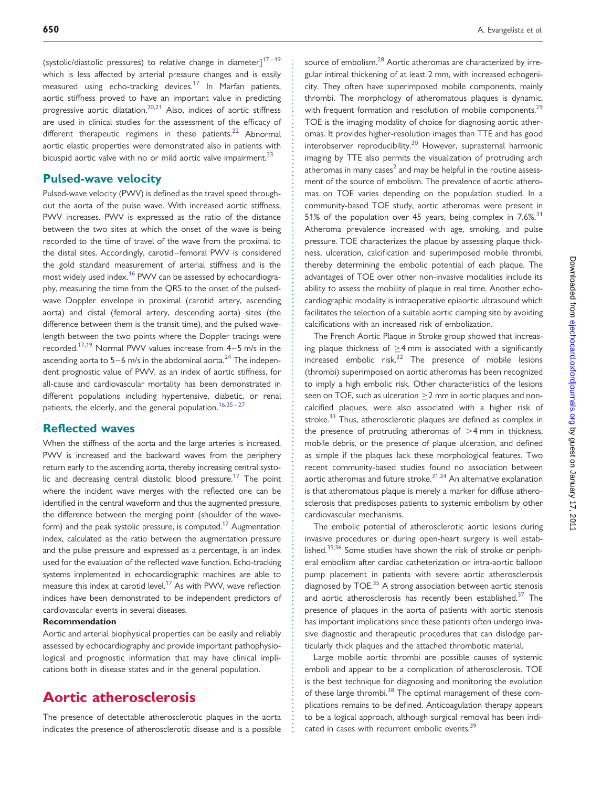(systolic/diastolic pressures) to relative change in diameter] $17-19$  $17-19$  $17-19$ which is less affected by arterial pressure changes and is easily measured using echo-tracking devices.<sup>[17](#page-12-0)</sup> In Marfan patients, aortic stiffness proved to have an important value in predicting progressive aortic dilatation[.20](#page-12-0),[21](#page-12-0) Also, indices of aortic stiffness are used in clinical studies for the assessment of the efficacy of different therapeutic regimens in these patients.<sup>[22](#page-12-0)</sup> Abnormal aortic elastic properties were demonstrated also in patients with bicuspid aortic valve with no or mild aortic valve impairment. $23$ 

### Pulsed-wave velocity

Pulsed-wave velocity (PWV) is defined as the travel speed throughout the aorta of the pulse wave. With increased aortic stiffness, PWV increases. PWV is expressed as the ratio of the distance between the two sites at which the onset of the wave is being recorded to the time of travel of the wave from the proximal to the distal sites. Accordingly, carotid–femoral PWV is considered the gold standard measurement of arterial stiffness and is the most widely used index.[16](#page-12-0) PWV can be assessed by echocardiography, measuring the time from the QRS to the onset of the pulsedwave Doppler envelope in proximal (carotid artery, ascending aorta) and distal (femoral artery, descending aorta) sites (the difference between them is the transit time), and the pulsed wavelength between the two points where the Doppler tracings were recorded.<sup>17,[19](#page-12-0)</sup> Normal PWV values increase from  $4-5$  m/s in the ascending aorta to 5–6 m/s in the abdominal aorta.<sup>24</sup> The independent prognostic value of PWV, as an index of aortic stiffness, for all-cause and cardiovascular mortality has been demonstrated in different populations including hypertensive, diabetic, or renal patients, the elderly, and the general population.<sup>[16,25](#page-12-0)-[27](#page-12-0)</sup>

### Reflected waves

When the stiffness of the aorta and the large arteries is increased, PWV is increased and the backward waves from the periphery return early to the ascending aorta, thereby increasing central systo-lic and decreasing central diastolic blood pressure.<sup>[17](#page-12-0)</sup> The point where the incident wave merges with the reflected one can be identified in the central waveform and thus the augmented pressure, the difference between the merging point (shoulder of the wave-form) and the peak systolic pressure, is computed.<sup>[17](#page-12-0)</sup> Augmentation index, calculated as the ratio between the augmentation pressure and the pulse pressure and expressed as a percentage, is an index used for the evaluation of the reflected wave function. Echo-tracking systems implemented in echocardiographic machines are able to measure this index at carotid level.<sup>[17](#page-12-0)</sup> As with PWV, wave reflection indices have been demonstrated to be independent predictors of cardiovascular events in several diseases.

#### Recommendation

Aortic and arterial biophysical properties can be easily and reliably assessed by echocardiography and provide important pathophysiological and prognostic information that may have clinical implications both in disease states and in the general population.

# Aortic atherosclerosis

The presence of detectable atherosclerotic plaques in the aorta indicates the presence of atherosclerotic disease and is a possible source of embolism.<sup>[28](#page-12-0)</sup> Aortic atheromas are characterized by irregular intimal thickening of at least 2 mm, with increased echogenicity. They often have superimposed mobile components, mainly thrombi. The morphology of atheromatous plaques is dynamic, with frequent formation and resolution of mobile components.<sup>[29](#page-13-0)</sup> TOE is the imaging modality of choice for diagnosing aortic atheromas. It provides higher-resolution images than TTE and has good interobserver reproducibility.<sup>[30](#page-13-0)</sup> However, suprasternal harmonic imaging by TTE also permits the visualization of protruding arch atheromas in many cases<sup>2</sup> and may be helpful in the routine assessment of the source of embolism. The prevalence of aortic atheromas on TOE varies depending on the population studied. In a community-based TOE study, aortic atheromas were present in 51% of the population over 45 years, being complex in  $7.6\%$ <sup>[31](#page-13-0)</sup> Atheroma prevalence increased with age, smoking, and pulse pressure. TOE characterizes the plaque by assessing plaque thickness, ulceration, calcification and superimposed mobile thrombi, thereby determining the embolic potential of each plaque. The advantages of TOE over other non-invasive modalities include its ability to assess the mobility of plaque in real time. Another echocardiographic modality is intraoperative epiaortic ultrasound which facilitates the selection of a suitable aortic clamping site by avoiding calcifications with an increased risk of embolization.

The French Aortic Plaque in Stroke group showed that increasing plaque thickness of  $>4$  mm is associated with a significantly increased embolic risk.<sup>[32](#page-13-0)</sup> The presence of mobile lesions (thrombi) superimposed on aortic atheromas has been recognized to imply a high embolic risk. Other characteristics of the lesions seen on TOE, such as ulceration  $\geq$  2 mm in aortic plaques and noncalcified plaques, were also associated with a higher risk of stroke.<sup>[33](#page-13-0)</sup> Thus, atherosclerotic plaques are defined as complex in the presence of protruding atheromas of  $>4$  mm in thickness, mobile debris, or the presence of plaque ulceration, and defined as simple if the plaques lack these morphological features. Two recent community-based studies found no association between aortic atheromas and future stroke.<sup>31,34</sup> An alternative explanation is that atheromatous plaque is merely a marker for diffuse atherosclerosis that predisposes patients to systemic embolism by other cardiovascular mechanisms.

The embolic potential of atherosclerotic aortic lesions during invasive procedures or during open-heart surgery is well estab-lished.<sup>[35](#page-13-0),[36](#page-13-0)</sup> Some studies have shown the risk of stroke or peripheral embolism after cardiac catheterization or intra-aortic balloon pump placement in patients with severe aortic atherosclerosis diagnosed by TOE.<sup>[35](#page-13-0)</sup> A strong association between aortic stenosis and aortic atherosclerosis has recently been established. $37$  The presence of plaques in the aorta of patients with aortic stenosis has important implications since these patients often undergo invasive diagnostic and therapeutic procedures that can dislodge particularly thick plaques and the attached thrombotic material.

Large mobile aortic thrombi are possible causes of systemic emboli and appear to be a complication of atherosclerosis. TOE is the best technique for diagnosing and monitoring the evolution of these large thrombi.<sup>[38](#page-13-0)</sup> The optimal management of these complications remains to be defined. Anticoagulation therapy appears to be a logical approach, although surgical removal has been indi-cated in cases with recurrent embolic events.<sup>[39](#page-13-0)</sup>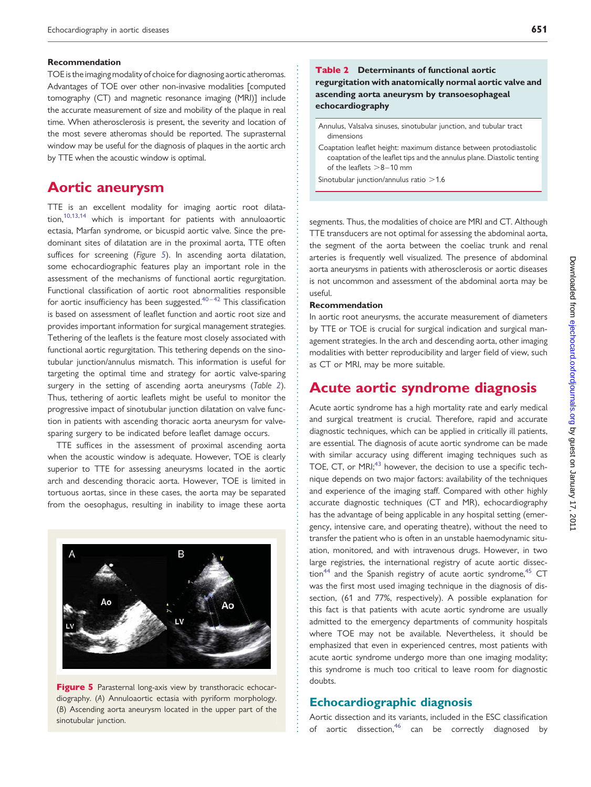#### Recommendation

TOE is the imaging modality of choice for diagnosing aortic atheromas. Advantages of TOE over other non-invasive modalities [computed tomography (CT) and magnetic resonance imaging (MRI)] include the accurate measurement of size and mobility of the plaque in real time. When atherosclerosis is present, the severity and location of the most severe atheromas should be reported. The suprasternal window may be useful for the diagnosis of plaques in the aortic arch by TTE when the acoustic window is optimal.

### Aortic aneurysm

TTE is an excellent modality for imaging aortic root dilatation[,10,13,14](#page-12-0) which is important for patients with annuloaortic ectasia, Marfan syndrome, or bicuspid aortic valve. Since the predominant sites of dilatation are in the proximal aorta, TTE often suffices for screening (Figure 5). In ascending aorta dilatation, some echocardiographic features play an important role in the assessment of the mechanisms of functional aortic regurgitation. Functional classification of aortic root abnormalities responsible for aortic insufficiency has been suggested. $40-42$  $40-42$  $40-42$  This classification is based on assessment of leaflet function and aortic root size and provides important information for surgical management strategies. Tethering of the leaflets is the feature most closely associated with functional aortic regurgitation. This tethering depends on the sinotubular junction/annulus mismatch. This information is useful for targeting the optimal time and strategy for aortic valve-sparing surgery in the setting of ascending aorta aneurysms (Table 2). Thus, tethering of aortic leaflets might be useful to monitor the progressive impact of sinotubular junction dilatation on valve function in patients with ascending thoracic aorta aneurysm for valvesparing surgery to be indicated before leaflet damage occurs.

TTE suffices in the assessment of proximal ascending aorta when the acoustic window is adequate. However, TOE is clearly superior to TTE for assessing aneurysms located in the aortic arch and descending thoracic aorta. However, TOE is limited in tortuous aortas, since in these cases, the aorta may be separated from the oesophagus, resulting in inability to image these aorta



Figure 5 Parasternal long-axis view by transthoracic echocardiography. (A) Annuloaortic ectasia with pyriform morphology. (B) Ascending aorta aneurysm located in the upper part of the sinotubular junction.

### Table 2 Determinants of functional aortic regurgitation with anatomically normal aortic valve and ascending aorta aneurysm by transoesophageal echocardiography

Annulus, Valsalva sinuses, sinotubular junction, and tubular tract dimensions

Coaptation leaflet height: maximum distance between protodiastolic coaptation of the leaflet tips and the annulus plane. Diastolic tenting of the leaflets  $>8-10$  mm

Sinotubular junction/annulus ratio  $>1.6$ 

segments. Thus, the modalities of choice are MRI and CT. Although TTE transducers are not optimal for assessing the abdominal aorta, the segment of the aorta between the coeliac trunk and renal arteries is frequently well visualized. The presence of abdominal aorta aneurysms in patients with atherosclerosis or aortic diseases is not uncommon and assessment of the abdominal aorta may be useful.

#### Recommendation

In aortic root aneurysms, the accurate measurement of diameters by TTE or TOE is crucial for surgical indication and surgical management strategies. In the arch and descending aorta, other imaging modalities with better reproducibility and larger field of view, such as CT or MRI, may be more suitable.

# Acute aortic syndrome diagnosis

Acute aortic syndrome has a high mortality rate and early medical and surgical treatment is crucial. Therefore, rapid and accurate diagnostic techniques, which can be applied in critically ill patients, are essential. The diagnosis of acute aortic syndrome can be made with similar accuracy using different imaging techniques such as TOE, CT, or MRI;<sup>[43](#page-13-0)</sup> however, the decision to use a specific technique depends on two major factors: availability of the techniques and experience of the imaging staff. Compared with other highly accurate diagnostic techniques (CT and MR), echocardiography has the advantage of being applicable in any hospital setting (emergency, intensive care, and operating theatre), without the need to transfer the patient who is often in an unstable haemodynamic situation, monitored, and with intravenous drugs. However, in two large registries, the international registry of acute aortic dissection<sup>44</sup> and the Spanish registry of acute aortic syndrome,  $45$  CT was the first most used imaging technique in the diagnosis of dissection, (61 and 77%, respectively). A possible explanation for this fact is that patients with acute aortic syndrome are usually admitted to the emergency departments of community hospitals where TOE may not be available. Nevertheless, it should be emphasized that even in experienced centres, most patients with acute aortic syndrome undergo more than one imaging modality; this syndrome is much too critical to leave room for diagnostic doubts.

### Echocardiographic diagnosis

Aortic dissection and its variants, included in the ESC classification of aortic dissection,<sup>[46](#page-13-0)</sup> can be correctly diagnosed by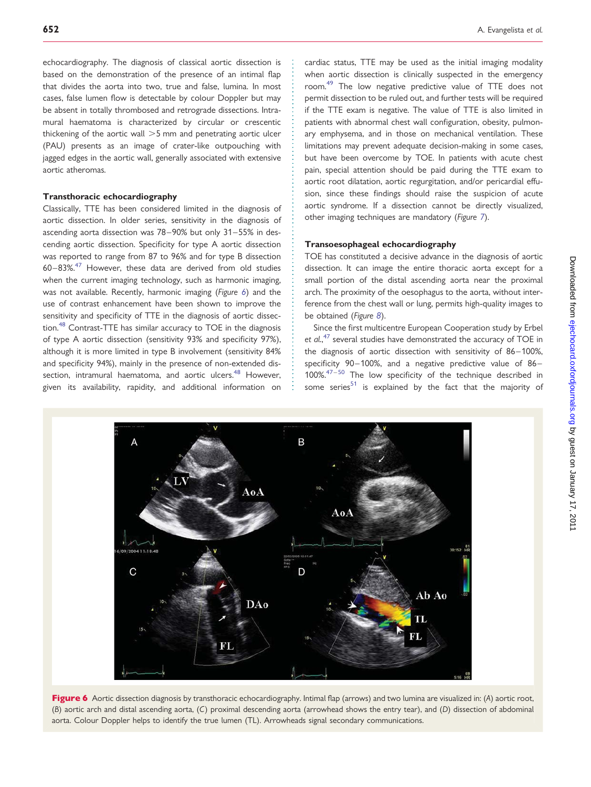echocardiography. The diagnosis of classical aortic dissection is based on the demonstration of the presence of an intimal flap that divides the aorta into two, true and false, lumina. In most cases, false lumen flow is detectable by colour Doppler but may be absent in totally thrombosed and retrograde dissections. Intramural haematoma is characterized by circular or crescentic thickening of the aortic wall  $>5$  mm and penetrating aortic ulcer (PAU) presents as an image of crater-like outpouching with jagged edges in the aortic wall, generally associated with extensive aortic atheromas.

#### Transthoracic echocardiography

Classically, TTE has been considered limited in the diagnosis of aortic dissection. In older series, sensitivity in the diagnosis of ascending aorta dissection was 78–90% but only 31–55% in descending aortic dissection. Specificity for type A aortic dissection was reported to range from 87 to 96% and for type B dissection  $60-83\%$ .<sup>[47](#page-13-0)</sup> However, these data are derived from old studies when the current imaging technology, such as harmonic imaging, was not available. Recently, harmonic imaging (Figure 6) and the use of contrast enhancement have been shown to improve the sensitivity and specificity of TTE in the diagnosis of aortic dissection.[48](#page-13-0) Contrast-TTE has similar accuracy to TOE in the diagnosis of type A aortic dissection (sensitivity 93% and specificity 97%), although it is more limited in type B involvement (sensitivity 84% and specificity 94%), mainly in the presence of non-extended dis-section, intramural haematoma, and aortic ulcers.<sup>[48](#page-13-0)</sup> However, given its availability, rapidity, and additional information on

cardiac status, TTE may be used as the initial imaging modality when aortic dissection is clinically suspected in the emergency room.<sup>[49](#page-13-0)</sup> The low negative predictive value of TTE does not permit dissection to be ruled out, and further tests will be required if the TTE exam is negative. The value of TTE is also limited in patients with abnormal chest wall configuration, obesity, pulmonary emphysema, and in those on mechanical ventilation. These limitations may prevent adequate decision-making in some cases, but have been overcome by TOE. In patients with acute chest pain, special attention should be paid during the TTE exam to aortic root dilatation, aortic regurgitation, and/or pericardial effusion, since these findings should raise the suspicion of acute aortic syndrome. If a dissection cannot be directly visualized, other imaging techniques are mandatory (Figure [7](#page-8-0)).

#### Transoesophageal echocardiography

TOE has constituted a decisive advance in the diagnosis of aortic dissection. It can image the entire thoracic aorta except for a small portion of the distal ascending aorta near the proximal arch. The proximity of the oesophagus to the aorta, without interference from the chest wall or lung, permits high-quality images to be obtained (Figure [8](#page-8-0)).

Since the first multicentre European Cooperation study by Erbel et al.,<sup>[47](#page-13-0)</sup> several studies have demonstrated the accuracy of TOE in the diagnosis of aortic dissection with sensitivity of 86–100%, specificity 90–100%, and a negative predictive value of 86–  $100\%$ .<sup>[47](#page-13-0)-[50](#page-13-0)</sup> The low specificity of the technique described in some series<sup>[51](#page-13-0)</sup> is explained by the fact that the majority of



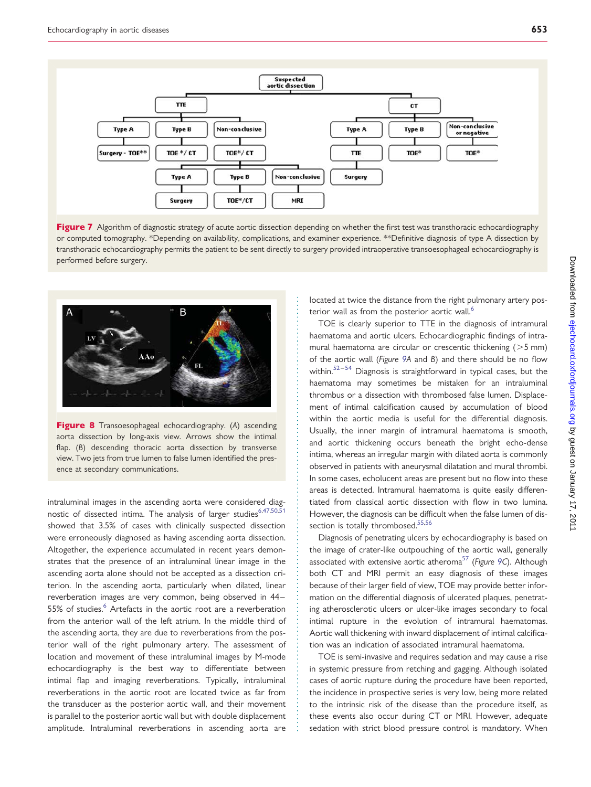<span id="page-8-0"></span>

Figure 7 Algorithm of diagnostic strategy of acute aortic dissection depending on whether the first test was transthoracic echocardiography or computed tomography. \*Depending on availability, complications, and examiner experience. \*\*Definitive diagnosis of type A dissection by transthoracic echocardiography permits the patient to be sent directly to surgery provided intraoperative transoesophageal echocardiography is performed before surgery.



Figure 8 Transoesophageal echocardiography. (A) ascending aorta dissection by long-axis view. Arrows show the intimal flap. (B) descending thoracic aorta dissection by transverse view. Two jets from true lumen to false lumen identified the presence at secondary communications.

intraluminal images in the ascending aorta were considered diag-nostic of dissected intima. The analysis of larger studies<sup>6,[47,50,51](#page-13-0)</sup> showed that 3.5% of cases with clinically suspected dissection were erroneously diagnosed as having ascending aorta dissection. Altogether, the experience accumulated in recent years demonstrates that the presence of an intraluminal linear image in the ascending aorta alone should not be accepted as a dissection criterion. In the ascending aorta, particularly when dilated, linear reverberation images are very common, being observed in 44– 55% of studies.<sup>[6](#page-12-0)</sup> Artefacts in the aortic root are a reverberation from the anterior wall of the left atrium. In the middle third of the ascending aorta, they are due to reverberations from the posterior wall of the right pulmonary artery. The assessment of location and movement of these intraluminal images by M-mode echocardiography is the best way to differentiate between intimal flap and imaging reverberations. Typically, intraluminal reverberations in the aortic root are located twice as far from the transducer as the posterior aortic wall, and their movement is parallel to the posterior aortic wall but with double displacement amplitude. Intraluminal reverberations in ascending aorta are

located at twice the distance from the right pulmonary artery pos-terior wall as from the posterior aortic wall.<sup>[6](#page-12-0)</sup>

TOE is clearly superior to TTE in the diagnosis of intramural haematoma and aortic ulcers. Echocardiographic findings of intramural haematoma are circular or crescentic thickening  $(>5$  mm) of the aortic wall (Figure [9A](#page-9-0) and B) and there should be no flow within.<sup>[52](#page-13-0)-[54](#page-13-0)</sup> Diagnosis is straightforward in typical cases, but the haematoma may sometimes be mistaken for an intraluminal thrombus or a dissection with thrombosed false lumen. Displacement of intimal calcification caused by accumulation of blood within the aortic media is useful for the differential diagnosis. Usually, the inner margin of intramural haematoma is smooth, and aortic thickening occurs beneath the bright echo-dense intima, whereas an irregular margin with dilated aorta is commonly observed in patients with aneurysmal dilatation and mural thrombi. In some cases, echolucent areas are present but no flow into these areas is detected. Intramural haematoma is quite easily differentiated from classical aortic dissection with flow in two lumina. However, the diagnosis can be difficult when the false lumen of dis-section is totally thrombosed.<sup>[55](#page-13-0),[56](#page-13-0)</sup>

Diagnosis of penetrating ulcers by echocardiography is based on the image of crater-like outpouching of the aortic wall, generally associated with extensive aortic atheroma<sup>[57](#page-13-0)</sup> (Figure [9](#page-9-0)C). Although both CT and MRI permit an easy diagnosis of these images because of their larger field of view, TOE may provide better information on the differential diagnosis of ulcerated plaques, penetrating atherosclerotic ulcers or ulcer-like images secondary to focal intimal rupture in the evolution of intramural haematomas. Aortic wall thickening with inward displacement of intimal calcification was an indication of associated intramural haematoma.

TOE is semi-invasive and requires sedation and may cause a rise in systemic pressure from retching and gagging. Although isolated cases of aortic rupture during the procedure have been reported, the incidence in prospective series is very low, being more related to the intrinsic risk of the disease than the procedure itself, as these events also occur during CT or MRI. However, adequate sedation with strict blood pressure control is mandatory. When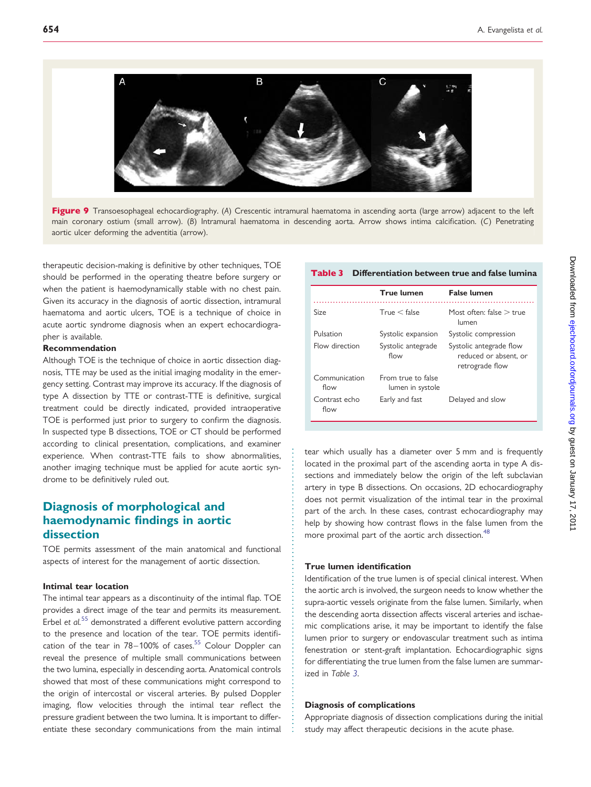<span id="page-9-0"></span>



therapeutic decision-making is definitive by other techniques, TOE should be performed in the operating theatre before surgery or when the patient is haemodynamically stable with no chest pain. Given its accuracy in the diagnosis of aortic dissection, intramural haematoma and aortic ulcers, TOE is a technique of choice in acute aortic syndrome diagnosis when an expert echocardiographer is available.

#### Recommendation

Although TOE is the technique of choice in aortic dissection diagnosis, TTE may be used as the initial imaging modality in the emergency setting. Contrast may improve its accuracy. If the diagnosis of type A dissection by TTE or contrast-TTE is definitive, surgical treatment could be directly indicated, provided intraoperative TOE is performed just prior to surgery to confirm the diagnosis. In suspected type B dissections, TOE or CT should be performed according to clinical presentation, complications, and examiner experience. When contrast-TTE fails to show abnormalities, another imaging technique must be applied for acute aortic syndrome to be definitively ruled out.

### Diagnosis of morphological and haemodynamic findings in aortic dissection

TOE permits assessment of the main anatomical and functional aspects of interest for the management of aortic dissection.

#### Intimal tear location

The intimal tear appears as a discontinuity of the intimal flap. TOE provides a direct image of the tear and permits its measurement. Erbel et  $aI$ <sup>[55](#page-13-0)</sup> demonstrated a different evolutive pattern according to the presence and location of the tear. TOE permits identification of the tear in  $78-100\%$  of cases.<sup>[55](#page-13-0)</sup> Colour Doppler can reveal the presence of multiple small communications between the two lumina, especially in descending aorta. Anatomical controls showed that most of these communications might correspond to the origin of intercostal or visceral arteries. By pulsed Doppler imaging, flow velocities through the intimal tear reflect the pressure gradient between the two lumina. It is important to differentiate these secondary communications from the main intimal

### Table 3 Differentiation between true and false lumina

|                       | <b>True lumen</b>                      | <b>False lumen</b>                                                  |
|-----------------------|----------------------------------------|---------------------------------------------------------------------|
| Size                  | True < false                           | Most often: false $>$ true<br>lumen                                 |
| Pulsation             | Systolic expansion                     | Systolic compression                                                |
| Flow direction        | Systolic antegrade<br>flow             | Systolic antegrade flow<br>reduced or absent, or<br>retrograde flow |
| Communication<br>flow | From true to false<br>lumen in systole |                                                                     |
| Contrast echo<br>flow | Early and fast                         | Delayed and slow                                                    |

tear which usually has a diameter over 5 mm and is frequently located in the proximal part of the ascending aorta in type A dissections and immediately below the origin of the left subclavian artery in type B dissections. On occasions, 2D echocardiography does not permit visualization of the intimal tear in the proximal part of the arch. In these cases, contrast echocardiography may help by showing how contrast flows in the false lumen from the more proximal part of the aortic arch dissection.<sup>[48](#page-13-0)</sup>

#### True lumen identification

Identification of the true lumen is of special clinical interest. When the aortic arch is involved, the surgeon needs to know whether the supra-aortic vessels originate from the false lumen. Similarly, when the descending aorta dissection affects visceral arteries and ischaemic complications arise, it may be important to identify the false lumen prior to surgery or endovascular treatment such as intima fenestration or stent-graft implantation. Echocardiographic signs for differentiating the true lumen from the false lumen are summarized in Table 3.

#### Diagnosis of complications

Appropriate diagnosis of dissection complications during the initial study may affect therapeutic decisions in the acute phase.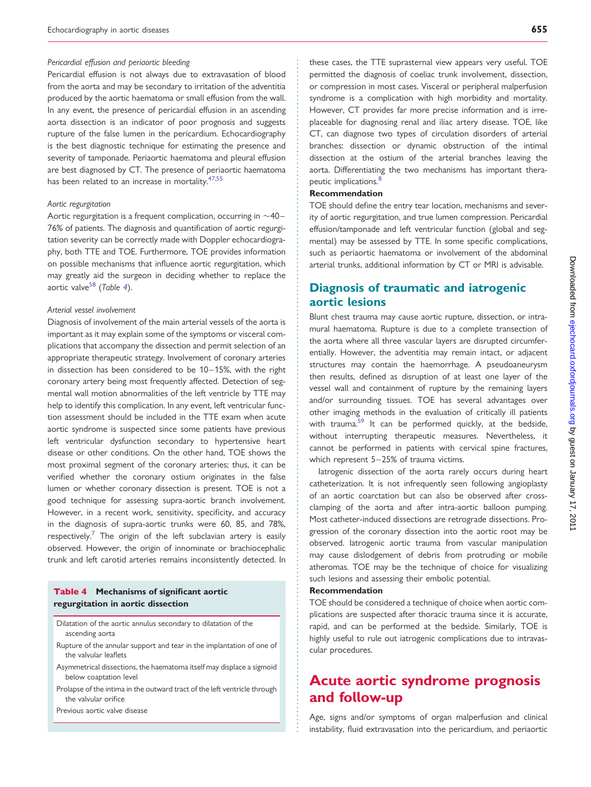#### Pericardial effusion and periaortic bleeding

Pericardial effusion is not always due to extravasation of blood from the aorta and may be secondary to irritation of the adventitia produced by the aortic haematoma or small effusion from the wall. In any event, the presence of pericardial effusion in an ascending aorta dissection is an indicator of poor prognosis and suggests rupture of the false lumen in the pericardium. Echocardiography is the best diagnostic technique for estimating the presence and severity of tamponade. Periaortic haematoma and pleural effusion are best diagnosed by CT. The presence of periaortic haematoma has been related to an increase in mortality.<sup>[47,55](#page-13-0)</sup>

#### Aortic regurgitation

Aortic regurgitation is a frequent complication, occurring in  $\sim$ 40– 76% of patients. The diagnosis and quantification of aortic regurgitation severity can be correctly made with Doppler echocardiography, both TTE and TOE. Furthermore, TOE provides information on possible mechanisms that influence aortic regurgitation, which may greatly aid the surgeon in deciding whether to replace the aortic valve<sup>[58](#page-13-0)</sup> (Table 4).

#### Arterial vessel involvement

Diagnosis of involvement of the main arterial vessels of the aorta is important as it may explain some of the symptoms or visceral complications that accompany the dissection and permit selection of an appropriate therapeutic strategy. Involvement of coronary arteries in dissection has been considered to be 10–15%, with the right coronary artery being most frequently affected. Detection of segmental wall motion abnormalities of the left ventricle by TTE may help to identify this complication. In any event, left ventricular function assessment should be included in the TTE exam when acute aortic syndrome is suspected since some patients have previous left ventricular dysfunction secondary to hypertensive heart disease or other conditions. On the other hand, TOE shows the most proximal segment of the coronary arteries; thus, it can be verified whether the coronary ostium originates in the false lumen or whether coronary dissection is present. TOE is not a good technique for assessing supra-aortic branch involvement. However, in a recent work, sensitivity, specificity, and accuracy in the diagnosis of supra-aortic trunks were 60, 85, and 78%, respectively.<sup>7</sup> The origin of the left subclavian artery is easily observed. However, the origin of innominate or brachiocephalic trunk and left carotid arteries remains inconsistently detected. In

#### Table 4 Mechanisms of significant aortic regurgitation in aortic dissection

- Dilatation of the aortic annulus secondary to dilatation of the ascending aorta
- Rupture of the annular support and tear in the implantation of one of the valvular leaflets
- Asymmetrical dissections, the haematoma itself may displace a sigmoid below coaptation level
- Prolapse of the intima in the outward tract of the left ventricle through the valvular orifice

Previous aortic valve disease

these cases, the TTE suprasternal view appears very useful. TOE permitted the diagnosis of coeliac trunk involvement, dissection, or compression in most cases. Visceral or peripheral malperfusion syndrome is a complication with high morbidity and mortality. However, CT provides far more precise information and is irreplaceable for diagnosing renal and iliac artery disease. TOE, like CT, can diagnose two types of circulation disorders of arterial branches: dissection or dynamic obstruction of the intimal dissection at the ostium of the arterial branches leaving the aorta. Differentiating the two mechanisms has important thera-peutic implications.<sup>[8](#page-12-0)</sup>

#### Recommendation

TOE should define the entry tear location, mechanisms and severity of aortic regurgitation, and true lumen compression. Pericardial effusion/tamponade and left ventricular function (global and segmental) may be assessed by TTE. In some specific complications, such as periaortic haematoma or involvement of the abdominal arterial trunks, additional information by CT or MRI is advisable.

## Diagnosis of traumatic and iatrogenic aortic lesions

Blunt chest trauma may cause aortic rupture, dissection, or intramural haematoma. Rupture is due to a complete transection of the aorta where all three vascular layers are disrupted circumferentially. However, the adventitia may remain intact, or adjacent structures may contain the haemorrhage. A pseudoaneurysm then results, defined as disruption of at least one layer of the vessel wall and containment of rupture by the remaining layers and/or surrounding tissues. TOE has several advantages over other imaging methods in the evaluation of critically ill patients with trauma.<sup>[59](#page-13-0)</sup> It can be performed quickly, at the bedside, without interrupting therapeutic measures. Nevertheless, it cannot be performed in patients with cervical spine fractures, which represent 5–25% of trauma victims.

latrogenic dissection of the aorta rarely occurs during heart catheterization. It is not infrequently seen following angioplasty of an aortic coarctation but can also be observed after crossclamping of the aorta and after intra-aortic balloon pumping. Most catheter-induced dissections are retrograde dissections. Progression of the coronary dissection into the aortic root may be observed. Iatrogenic aortic trauma from vascular manipulation may cause dislodgement of debris from protruding or mobile atheromas. TOE may be the technique of choice for visualizing such lesions and assessing their embolic potential.

#### Recommendation

TOE should be considered a technique of choice when aortic complications are suspected after thoracic trauma since it is accurate, rapid, and can be performed at the bedside. Similarly, TOE is highly useful to rule out iatrogenic complications due to intravascular procedures.

# Acute aortic syndrome prognosis and follow-up

Age, signs and/or symptoms of organ malperfusion and clinical instability, fluid extravasation into the pericardium, and periaortic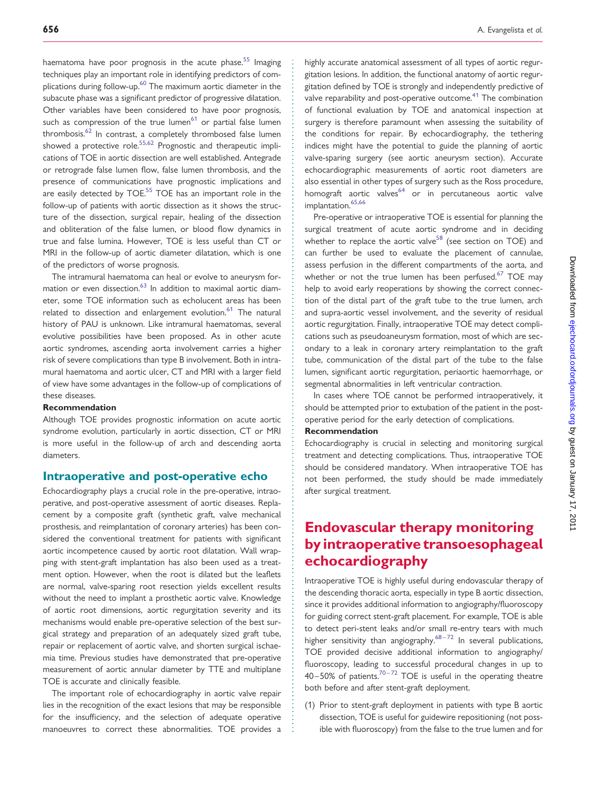haematoma have poor prognosis in the acute phase.<sup>55</sup> Imaging techniques play an important role in identifying predictors of com-plications during follow-up.<sup>[60](#page-13-0)</sup> The maximum aortic diameter in the subacute phase was a significant predictor of progressive dilatation. Other variables have been considered to have poor prognosis, such as compression of the true lumen<sup>[61](#page-13-0)</sup> or partial false lumen thrombosis.<sup>[62](#page-13-0)</sup> In contrast, a completely thrombosed false lumen showed a protective role.<sup>55,62</sup> Prognostic and therapeutic implications of TOE in aortic dissection are well established. Antegrade or retrograde false lumen flow, false lumen thrombosis, and the presence of communications have prognostic implications and are easily detected by TOE.<sup>55</sup> TOE has an important role in the follow-up of patients with aortic dissection as it shows the structure of the dissection, surgical repair, healing of the dissection and obliteration of the false lumen, or blood flow dynamics in true and false lumina. However, TOE is less useful than CT or MRI in the follow-up of aortic diameter dilatation, which is one of the predictors of worse prognosis.

The intramural haematoma can heal or evolve to aneurysm for-mation or even dissection.<sup>[63](#page-13-0)</sup> In addition to maximal aortic diameter, some TOE information such as echolucent areas has been related to dissection and enlargement evolution.<sup>61</sup> The natural history of PAU is unknown. Like intramural haematomas, several evolutive possibilities have been proposed. As in other acute aortic syndromes, ascending aorta involvement carries a higher risk of severe complications than type B involvement. Both in intramural haematoma and aortic ulcer, CT and MRI with a larger field of view have some advantages in the follow-up of complications of these diseases.

#### Recommendation

Although TOE provides prognostic information on acute aortic syndrome evolution, particularly in aortic dissection, CT or MRI is more useful in the follow-up of arch and descending aorta diameters.

### Intraoperative and post-operative echo

Echocardiography plays a crucial role in the pre-operative, intraoperative, and post-operative assessment of aortic diseases. Replacement by a composite graft (synthetic graft, valve mechanical prosthesis, and reimplantation of coronary arteries) has been considered the conventional treatment for patients with significant aortic incompetence caused by aortic root dilatation. Wall wrapping with stent-graft implantation has also been used as a treatment option. However, when the root is dilated but the leaflets are normal, valve-sparing root resection yields excellent results without the need to implant a prosthetic aortic valve. Knowledge of aortic root dimensions, aortic regurgitation severity and its mechanisms would enable pre-operative selection of the best surgical strategy and preparation of an adequately sized graft tube, repair or replacement of aortic valve, and shorten surgical ischaemia time. Previous studies have demonstrated that pre-operative measurement of aortic annular diameter by TTE and multiplane TOE is accurate and clinically feasible.

The important role of echocardiography in aortic valve repair lies in the recognition of the exact lesions that may be responsible for the insufficiency, and the selection of adequate operative manoeuvres to correct these abnormalities. TOE provides a

highly accurate anatomical assessment of all types of aortic regurgitation lesions. In addition, the functional anatomy of aortic regurgitation defined by TOE is strongly and independently predictive of valve reparability and post-operative outcome.<sup>41</sup> The combination of functional evaluation by TOE and anatomical inspection at surgery is therefore paramount when assessing the suitability of the conditions for repair. By echocardiography, the tethering indices might have the potential to guide the planning of aortic valve-sparing surgery (see aortic aneurysm section). Accurate echocardiographic measurements of aortic root diameters are also essential in other types of surgery such as the Ross procedure, homograft aortic valves<sup>64</sup> or in percutaneous aortic valve implantation.<sup>[65](#page-13-0),[66](#page-13-0)</sup>

Pre-operative or intraoperative TOE is essential for planning the surgical treatment of acute aortic syndrome and in deciding whether to replace the aortic valve<sup>[58](#page-13-0)</sup> (see section on TOE) and can further be used to evaluate the placement of cannulae, assess perfusion in the different compartments of the aorta, and whether or not the true lumen has been perfused. $67$  TOE may help to avoid early reoperations by showing the correct connection of the distal part of the graft tube to the true lumen, arch and supra-aortic vessel involvement, and the severity of residual aortic regurgitation. Finally, intraoperative TOE may detect complications such as pseudoaneurysm formation, most of which are secondary to a leak in coronary artery reimplantation to the graft tube, communication of the distal part of the tube to the false lumen, significant aortic regurgitation, periaortic haemorrhage, or segmental abnormalities in left ventricular contraction.

In cases where TOE cannot be performed intraoperatively, it should be attempted prior to extubation of the patient in the postoperative period for the early detection of complications.

#### Recommendation

Echocardiography is crucial in selecting and monitoring surgical treatment and detecting complications. Thus, intraoperative TOE should be considered mandatory. When intraoperative TOE has not been performed, the study should be made immediately after surgical treatment.

# Endovascular therapy monitoring by intraoperative transoesophageal echocardiography

Intraoperative TOE is highly useful during endovascular therapy of the descending thoracic aorta, especially in type B aortic dissection, since it provides additional information to angiography/fluoroscopy for guiding correct stent-graft placement. For example, TOE is able to detect peri-stent leaks and/or small re-entry tears with much higher sensitivity than angiography.<sup>[68](#page-13-0)-[72](#page-13-0)</sup> In several publications, TOE provided decisive additional information to angiography/ fluoroscopy, leading to successful procedural changes in up to  $40-50\%$  of patients.<sup>70-[72](#page-13-0)</sup> TOE is useful in the operating theatre both before and after stent-graft deployment.

(1) Prior to stent-graft deployment in patients with type B aortic dissection, TOE is useful for guidewire repositioning (not possible with fluoroscopy) from the false to the true lumen and for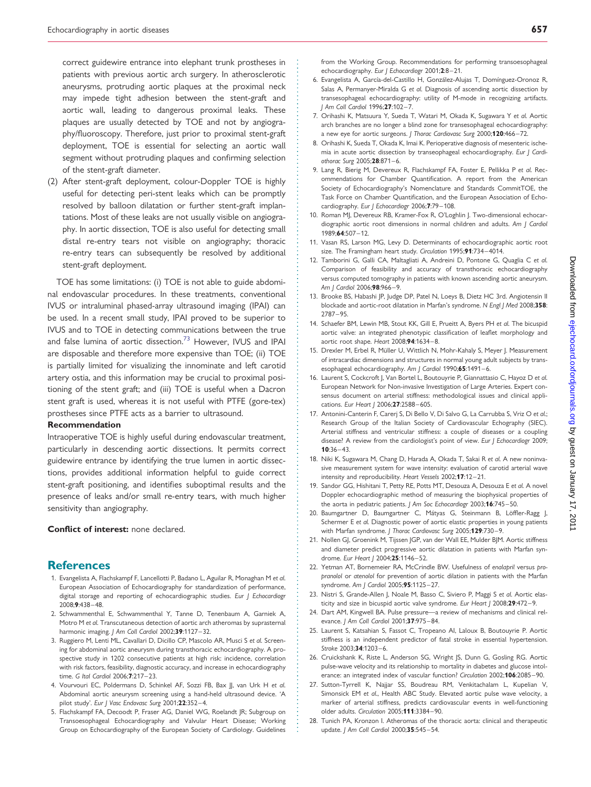<span id="page-12-0"></span>correct guidewire entrance into elephant trunk prostheses in patients with previous aortic arch surgery. In atherosclerotic aneurysms, protruding aortic plaques at the proximal neck may impede tight adhesion between the stent-graft and aortic wall, leading to dangerous proximal leaks. These plaques are usually detected by TOE and not by angiography/fluoroscopy. Therefore, just prior to proximal stent-graft deployment, TOE is essential for selecting an aortic wall segment without protruding plaques and confirming selection of the stent-graft diameter.

(2) After stent-graft deployment, colour-Doppler TOE is highly useful for detecting peri-stent leaks which can be promptly resolved by balloon dilatation or further stent-graft implantations. Most of these leaks are not usually visible on angiography. In aortic dissection, TOE is also useful for detecting small distal re-entry tears not visible on angiography; thoracic re-entry tears can subsequently be resolved by additional stent-graft deployment.

TOE has some limitations: (i) TOE is not able to guide abdominal endovascular procedures. In these treatments, conventional IVUS or intraluminal phased-array ultrasound imaging (IPAI) can be used. In a recent small study, IPAI proved to be superior to IVUS and to TOE in detecting communications between the true and false lumina of aortic dissection.<sup>[73](#page-13-0)</sup> However, IVUS and IPAI are disposable and therefore more expensive than TOE; (ii) TOE is partially limited for visualizing the innominate and left carotid artery ostia, and this information may be crucial to proximal positioning of the stent graft; and (iii) TOE is useful when a Dacron stent graft is used, whereas it is not useful with PTFE (gore-tex) prostheses since PTFE acts as a barrier to ultrasound.

#### Recommendation

Intraoperative TOE is highly useful during endovascular treatment, particularly in descending aortic dissections. It permits correct guidewire entrance by identifying the true lumen in aortic dissections, provides additional information helpful to guide correct stent-graft positioning, and identifies suboptimal results and the presence of leaks and/or small re-entry tears, with much higher sensitivity than angiography.

Conflict of interest: none declared.

#### **References**

- 1. Evangelista A, Flachskampf F, Lancellotti P, Badano L, Aguilar R, Monaghan M et al. European Association of Echocardiography for standardization of performance, digital storage and reporting of echocardiographic studies. Eur J Echocardiogr 2008;9:438–48.
- 2. Schwammenthal E, Schwammenthal Y, Tanne D, Tenenbaum A, Garniek A, Motro M et al. Transcutaneous detection of aortic arch atheromas by suprasternal harmonic imaging. J Am Coll Cardiol 2002;39:1127-32.
- 3. Ruggiero M, Lenti ML, Cavallari D, Dicillo CP, Mascolo AR, Musci S et al. Screening for abdominal aortic aneurysm during transthoracic echocardiography. A prospective study in 1202 consecutive patients at high risk: incidence, correlation with risk factors, feasibility, diagnostic accuracy, and increase in echocardiography time. G Ital Cardiol 2006;7:217–23.
- 4. Vourvouri EC, Poldermans D, Schinkel AF, Sozzi FB, Bax JJ, van Urk H et al. Abdominal aortic aneurysm screening using a hand-held ultrasound device. 'A pilot study'. Eur J Vasc Endovasc Surg 2001;22:352-4.
- 5. Flachskampf FA, Decoodt P, Fraser AG, Daniel WG, Roelandt JR; Subgroup on Transoesophageal Echocardiography and Valvular Heart Disease; Working Group on Echocardiography of the European Society of Cardiology. Guidelines

from the Working Group. Recommendations for performing transoesophageal echocardiography. Eur J Echocardiogr 2001;2:8–21.

- 6. Evangelista A, García-del-Castillo H, González-Alujas T, Domínguez-Oronoz R, Salas A, Permanyer-Miralda G et al. Diagnosis of ascending aortic dissection by transesophageal echocardiography: utility of M-mode in recognizing artifacts. J Am Coll Cardiol 1996;27:102–7.
- 7. Orihashi K, Matsuura Y, Sueda T, Watari M, Okada K, Sugawara Y et al. Aortic arch branches are no longer a blind zone for transesophageal echocardiography: a new eye for aortic surgeons. J Thorac Cardiovasc Surg 2000;120:466-72.
- 8. Orihashi K, Sueda T, Okada K, Imai K. Perioperative diagnosis of mesenteric ischemia in acute aortic dissection by transeophageal echocardiography. Eur J Cardiothorac Surg 2005;28:871–6.
- 9. Lang R, Bierig M, Devereux R, Flachskampf FA, Foster E, Pellikka P et al. Recommendations for Chamber Quantification. A report from the American Society of Echocardiography's Nomenclature and Standards CommitTOE, the Task Force on Chamber Quantification, and the European Association of Echocardiography. Eur J Echocardiogr 2006;7:79-108.
- 10. Roman MJ, Devereux RB, Kramer-Fox R, O'Loghlin J. Two-dimensional echocardiographic aortic root dimensions in normal children and adults. Am J Cardiol 1989;64:507–12.
- 11. Vasan RS, Larson MG, Levy D. Determinants of echocardiographic aortic root size. The Framingham heart study. Circulation 1995;91:734-4014.
- 12. Tamborini G, Galli CA, Maltagliati A, Andreini D, Pontone G, Quaglia C et al. Comparison of feasibility and accuracy of transthoracic echocardiography versus computed tomography in patients with known ascending aortic aneurysm. Am J Cardiol 2006;98:966–9.
- 13. Brooke BS, Habashi JP, Judge DP, Patel N, Loeys B, Dietz HC 3rd. Angiotensin II blockade and aortic-root dilatation in Marfan's syndrome. N Engl J Med 2008;358: 2787–95.
- 14. Schaefer BM, Lewin MB, Stout KK, Gill E, Prueitt A, Byers PH et al. The bicuspid aortic valve: an integrated phenotypic classification of leaflet morphology and aortic root shape. Heart 2008;94:1634–8.
- 15. Drexler M, Erbel R, Müller U, Wittlich N, Mohr-Kahaly S, Meyer J. Measurement of intracardiac dimensions and structures in normal young adult subjects by transesophageal echocardiography. Am J Cardiol 1990;65:1491-6.
- 16. Laurent S, Cockcroft J, Van Bortel L, Boutouyrie P, Giannattasio C, Hayoz D et al. European Network for Non-invasive Investigation of Large Arteries. Expert consensus document on arterial stiffness: methodological issues and clinical applications. Eur Heart J 2006:27:2588-605.
- 17. Antonini-Canterin F, Carerj S, Di Bello V, Di Salvo G, La Carrubba S, Vriz O et al.; Research Group of the Italian Society of Cardiovascular Echography (SIEC). Arterial stiffness and ventricular stiffness: a couple of diseases or a coupling disease? A review from the cardiologist's point of view. Eur J Echocardiogr 2009; 10:36–43.
- 18. Niki K, Sugawara M, Chang D, Harada A, Okada T, Sakai R et al. A new noninvasive measurement system for wave intensity: evaluation of carotid arterial wave intensity and reproducibility. Heart Vessels 2002;17:12–21.
- 19. Sandor GG, Hishitani T, Petty RE, Potts MT, Desouza A, Desouza E et al. A novel Doppler echocardiographic method of measuring the biophysical properties of the aorta in pediatric patients. J Am Soc Echocardiogr 2003;16:745-50.
- 20. Baumgartner D, Baumgartner C, Mátyas G, Steinmann B, Löffler-Ragg J, Schermer E et al. Diagnostic power of aortic elastic properties in young patients with Marfan syndrome. J Thorac Cardiovasc Surg 2005;129:730-9.
- 21. Nollen GJ, Groenink M, Tijssen JGP, van der Wall EE, Mulder BJM. Aortic stiffness and diameter predict progressive aortic dilatation in patients with Marfan syndrome. Eur Heart | 2004;25:1146-52.
- 22. Yetman AT, Bornemeier RA, McCrindle BW. Usefulness of enalapril versus propranolol or atenolol for prevention of aortic dilation in patients with the Marfan syndrome. Am | Cardiol 2005;95:1125-27.
- 23. Nistri S, Grande-Allen J, Noale M, Basso C, Siviero P, Maggi S et al. Aortic elasticity and size in bicuspid aortic valve syndrome. Eur Heart J 2008;29:472-9.
- 24. Dart AM, Kingwell BA. Pulse pressure—a review of mechanisms and clinical relevance. J Am Coll Cardiol 2001;37:975–84.
- 25. Laurent S, Katsahian S, Fassot C, Tropeano AI, Laloux B, Boutouyrie P. Aortic stiffness is an independent predictor of fatal stroke in essential hypertension. Stroke 2003;34:1203–6.
- 26. Cruickshank K, Riste L, Anderson SG, Wright JS, Dunn G, Gosling RG. Aortic pulse-wave velocity and its relationship to mortality in diabetes and glucose intolerance: an integrated index of vascular function? Circulation 2002;106:2085-90.
- 27. Sutton-Tyrrell K, Najjar SS, Boudreau RM, Venkitachalam L, Kupelian V, Simonsick EM et al., Health ABC Study. Elevated aortic pulse wave velocity, a marker of arterial stiffness, predicts cardiovascular events in well-functioning older adults. Circulation 2005;111:3384–90.
- 28. Tunich PA, Kronzon I. Atheromas of the thoracic aorta: clinical and therapeutic update. J Am Coll Cardiol 2000;35:545–54.